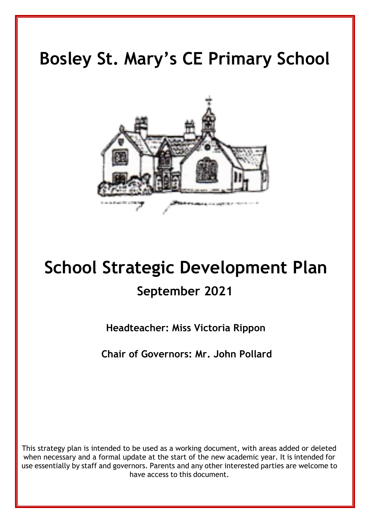# **Bosley St. Mary's CE Primary School**



# **School Strategic Development Plan September 2021**

**Headteacher: Miss Victoria Rippon**

 **Chair of Governors: Mr. John Pollard**

This strategy plan is intended to be used as a working document, with areas added or deleted when necessary and a formal update at the start of the new academic year. It is intended for use essentially by staff and governors. Parents and any other interested parties are welcome to have access to this document.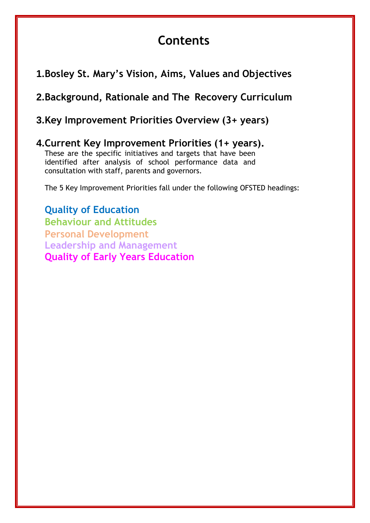# **Contents**

# **1.Bosley St. Mary's Vision, Aims, Values and Objectives**

# **2.Background, Rationale and The Recovery Curriculum**

# **3.Key Improvement Priorities Overview (3+ years)**

## **4.Current Key Improvement Priorities (1+ years).**

These are the specific initiatives and targets that have been identified after analysis of school performance data and consultation with staff, parents and governors.

The 5 Key Improvement Priorities fall under the following OFSTED headings:

**Quality of Education Behaviour and Attitudes Personal Development Leadership and Management Quality of Early Years Education**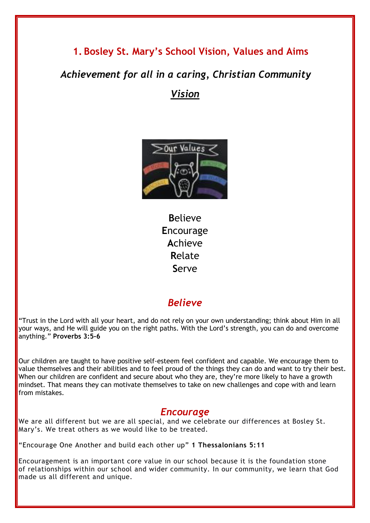# **1. Bosley St. Mary's School Vision, Values and Aims** *Achievement for all in a caring, Christian Community Vision*



**B**elieve **E**ncourage **A**chieve **R**elate **S**erve

# *Believe*

"Trust in the Lord with all your heart, and do not rely on your own understanding; think about Him in all your ways, and He will guide you on the right paths. With the Lord's strength, you can do and overcome anything." **Proverbs 3:5-6**

Our children are taught to have positive self-esteem feel confident and capable. We encourage them to value themselves and their abilities and to feel proud of the things they can do and want to try their best. When our children are confident and secure about who they are, they're more likely to have a growth mindset. That means they can motivate themselves to take on new challenges and cope with and learn from mistakes.

## *Encourage*

We are all different but we are all special, and we celebrate our differences at Bosley St. Mary's. We treat others as we would like to be treated.

"Encourage One Another and build each other up" **1 Thessalonians 5:11**

Encouragement is an important core value in our school because it is the foundation stone of relationships within our school and wider community. In our community, we learn that God made us all different and unique.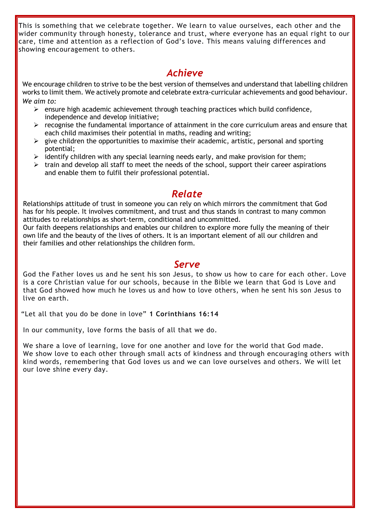This is something that we celebrate together. We learn to value ourselves, each other and the wider community through honesty, tolerance and trust, where everyone has an equal right to our care, time and attention as a reflection of God's love. This means valuing differences and showing encouragement to others.

# *Achieve*

We encourage children to strive to be the best version of themselves and understand that labelling children works to limit them. We actively promote and celebrate extra-curricular achievements and good behaviour. *We aim to:*

- $\triangleright$  ensure high academic achievement through teaching practices which build confidence, independence and develop initiative;
- $\triangleright$  recognise the fundamental importance of attainment in the core curriculum areas and ensure that each child maximises their potential in maths, reading and writing;
- $\triangleright$  give children the opportunities to maximise their academic, artistic, personal and sporting potential;
- $\triangleright$  identify children with any special learning needs early, and make provision for them;
- $\triangleright$  train and develop all staff to meet the needs of the school, support their career aspirations and enable them to fulfil their professional potential.

# *Relate*

Relationships attitude of trust in someone you can rely on which mirrors the commitment that God has for his people. It involves commitment, and trust and thus stands in contrast to many common attitudes to relationships as short-term, conditional and uncommitted.

Our faith deepens relationships and enables our children to explore more fully the meaning of their own life and the beauty of the lives of others. It is an important element of all our children and their families and other relationships the children form.

## *Serve*

God the Father loves us and he sent his son Jesus, to show us how to care for each other. Love is a core Christian value for our schools, because in the Bible we learn that God is Love and that God showed how much he loves us and how to love others, when he sent his son Jesus to live on earth.

"Let all that you do be done in love" **1 Corinthians 16:14**

In our community, love forms the basis of all that we do.

We share a love of learning, love for one another and love for the world that God made. We show love to each other through small acts of kindness and through encouraging others with kind words, remembering that God loves us and we can love ourselves and others. We will let our love shine every day.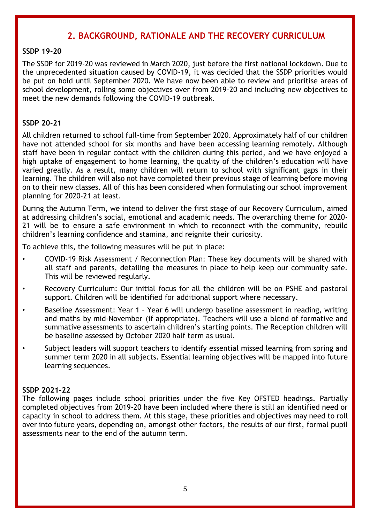## **2. BACKGROUND, RATIONALE AND THE RECOVERY CURRICULUM**

#### **SSDP 19-20**

The SSDP for 2019-20 was reviewed in March 2020, just before the first national lockdown. Due to the unprecedented situation caused by COVID-19, it was decided that the SSDP priorities would be put on hold until September 2020. We have now been able to review and prioritise areas of school development, rolling some objectives over from 2019-20 and including new objectives to meet the new demands following the COVID-19 outbreak.

#### **SSDP 20-21**

All children returned to school full-time from September 2020. Approximately half of our children have not attended school for six months and have been accessing learning remotely. Although staff have been in regular contact with the children during this period, and we have enjoyed a high uptake of engagement to home learning, the quality of the children's education will have varied greatly. As a result, many children will return to school with significant gaps in their learning. The children will also not have completed their previous stage of learning before moving on to their new classes. All of this has been considered when formulating our school improvement planning for 2020-21 at least.

During the Autumn Term, we intend to deliver the first stage of our Recovery Curriculum, aimed at addressing children's social, emotional and academic needs. The overarching theme for 2020- 21 will be to ensure a safe environment in which to reconnect with the community, rebuild children's learning confidence and stamina, and reignite their curiosity.

To achieve this, the following measures will be put in place:

- COVID-19 Risk Assessment / Reconnection Plan: These key documents will be shared with all staff and parents, detailing the measures in place to help keep our community safe. This will be reviewed regularly.
- Recovery Curriculum: Our initial focus for all the children will be on PSHE and pastoral support. Children will be identified for additional support where necessary.
- Baseline Assessment: Year 1 Year 6 will undergo baseline assessment in reading, writing and maths by mid-November (if appropriate). Teachers will use a blend of formative and summative assessments to ascertain children's starting points. The Reception children will be baseline assessed by October 2020 half term as usual.
- Subject leaders will support teachers to identify essential missed learning from spring and summer term 2020 in all subjects. Essential learning objectives will be mapped into future learning sequences.

#### **SSDP 2021-22**

The following pages include school priorities under the five Key OFSTED headings. Partially completed objectives from 2019-20 have been included where there is still an identified need or capacity in school to address them. At this stage, these priorities and objectives may need to roll over into future years, depending on, amongst other factors, the results of our first, formal pupil assessments near to the end of the autumn term.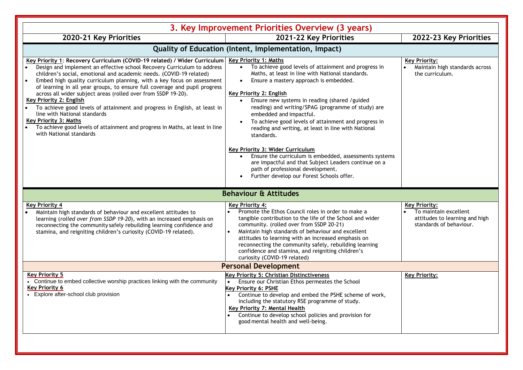| 3. Key Improvement Priorities Overview (3 years)                                                                                                                                                                                                                                                                                                                                                                                                                                                                                                                                                                                                                                                                                              |                                                                                                                                                                                                                                                                                                                                                                                                                                                                                                                                                                                                                                                                                                                                                             |                                                                                                     |
|-----------------------------------------------------------------------------------------------------------------------------------------------------------------------------------------------------------------------------------------------------------------------------------------------------------------------------------------------------------------------------------------------------------------------------------------------------------------------------------------------------------------------------------------------------------------------------------------------------------------------------------------------------------------------------------------------------------------------------------------------|-------------------------------------------------------------------------------------------------------------------------------------------------------------------------------------------------------------------------------------------------------------------------------------------------------------------------------------------------------------------------------------------------------------------------------------------------------------------------------------------------------------------------------------------------------------------------------------------------------------------------------------------------------------------------------------------------------------------------------------------------------------|-----------------------------------------------------------------------------------------------------|
| 2020-21 Key Priorities                                                                                                                                                                                                                                                                                                                                                                                                                                                                                                                                                                                                                                                                                                                        | 2021-22 Key Priorities                                                                                                                                                                                                                                                                                                                                                                                                                                                                                                                                                                                                                                                                                                                                      | 2022-23 Key Priorities                                                                              |
| Quality of Education (Intent, Implementation, Impact)                                                                                                                                                                                                                                                                                                                                                                                                                                                                                                                                                                                                                                                                                         |                                                                                                                                                                                                                                                                                                                                                                                                                                                                                                                                                                                                                                                                                                                                                             |                                                                                                     |
| Key Priority 1: Recovery Curriculum (COVID-19 related) / Wider Curriculum<br>Design and implement an effective school Recovery Curriculum to address<br>children's social, emotional and academic needs. (COVID-19 related)<br>Embed high quality curriculum planning, with a key focus on assessment<br>of learning in all year groups, to ensure full coverage and pupil progress<br>across all wider subject areas (rolled over from SSDP 19-20).<br>Key Priority 2: English<br>To achieve good levels of attainment and progress in English, at least in<br>$\bullet$<br>line with National standards<br>Key Priority 3: Maths<br>To achieve good levels of attainment and progress in Maths, at least in line<br>with National standards | <b>Key Priority 1: Maths</b><br>To achieve good levels of attainment and progress in<br>$\bullet$<br>Maths, at least in line with National standards.<br>Ensure a mastery approach is embedded.<br>Key Priority 2: English<br>Ensure new systems in reading (shared /guided<br>$\bullet$<br>reading) and writing/SPAG (programme of study) are<br>embedded and impactful.<br>To achieve good levels of attainment and progress in<br>$\bullet$<br>reading and writing, at least in line with National<br>standards.<br>Key Priority 3: Wider Curriculum<br>Ensure the curriculum is embedded, assessments systems<br>are impactful and that Subject Leaders continue on a<br>path of professional development.<br>Further develop our Forest Schools offer. | <b>Key Priority:</b><br>Maintain high standards across<br>the curriculum.                           |
|                                                                                                                                                                                                                                                                                                                                                                                                                                                                                                                                                                                                                                                                                                                                               | <b>Behaviour &amp; Attitudes</b>                                                                                                                                                                                                                                                                                                                                                                                                                                                                                                                                                                                                                                                                                                                            |                                                                                                     |
| Key Priority 4<br>Maintain high standards of behaviour and excellent attitudes to<br>learning (rolled over from SSDP 19-20), with an increased emphasis on<br>reconnecting the community safely rebuilding learning confidence and<br>stamina, and reigniting children's curiosity (COVID-19 related).                                                                                                                                                                                                                                                                                                                                                                                                                                        | Key Priority 4:<br>Promote the Ethos Council roles in order to make a<br>$\bullet$<br>tangible contribution to the life of the School and wider<br>community. (rolled over from SSDP 20-21)<br>Maintain high standards of behaviour and excellent<br>attitudes to learning with an increased emphasis on<br>reconnecting the community safely, rebuilding learning<br>confidence and stamina, and reigniting children's<br>curiosity (COVID-19 related)                                                                                                                                                                                                                                                                                                     | Key Priority:<br>To maintain excellent<br>attitudes to learning and high<br>standards of behaviour. |
| <b>Personal Development</b>                                                                                                                                                                                                                                                                                                                                                                                                                                                                                                                                                                                                                                                                                                                   |                                                                                                                                                                                                                                                                                                                                                                                                                                                                                                                                                                                                                                                                                                                                                             |                                                                                                     |
| Key Priority 5<br>• Continue to embed collective worship practices linking with the community<br>Key Priority 6<br>• Explore after-school club provision                                                                                                                                                                                                                                                                                                                                                                                                                                                                                                                                                                                      | Key Priority 5: Christian Distinctiveness<br>Ensure our Christian Ethos permeates the School<br><b>Key Priority 6: PSHE</b><br>Continue to develop and embed the PSHE scheme of work,<br>including the statutory RSE programme of study.<br>Key Priority 7: Mental Health<br>Continue to develop school policies and provision for<br>good mental health and well-being.                                                                                                                                                                                                                                                                                                                                                                                    | <b>Key Priority:</b>                                                                                |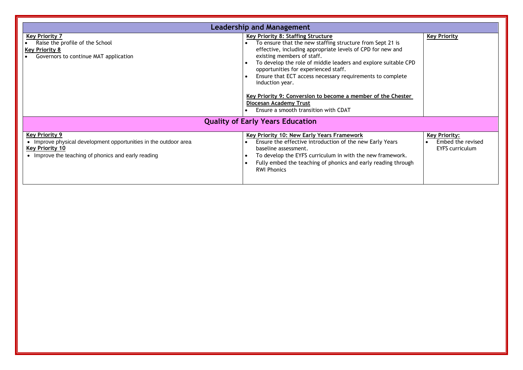|                                                                                                                                                                     | <b>Leadership and Management</b>                                                                                                                                                                                                                                                                                                                                                                                                                                                                                               |                                                              |
|---------------------------------------------------------------------------------------------------------------------------------------------------------------------|--------------------------------------------------------------------------------------------------------------------------------------------------------------------------------------------------------------------------------------------------------------------------------------------------------------------------------------------------------------------------------------------------------------------------------------------------------------------------------------------------------------------------------|--------------------------------------------------------------|
| <b>Key Priority 7</b><br>Raise the profile of the School<br><b>Key Priority 8</b><br>Governors to continue MAT application                                          | <b>Key Priority 8: Staffing Structure</b><br>To ensure that the new staffing structure from Sept 21 is<br>effective, including appropriate levels of CPD for new and<br>existing members of staff.<br>To develop the role of middle leaders and explore suitable CPD<br>opportunities for experienced staff.<br>Ensure that ECT access necessary requirements to complete<br>induction year.<br>Key Priority 9: Conversion to become a member of the Chester<br>Diocesan Academy Trust<br>Ensure a smooth transition with CDAT | <b>Key Priority</b>                                          |
| <b>Quality of Early Years Education</b>                                                                                                                             |                                                                                                                                                                                                                                                                                                                                                                                                                                                                                                                                |                                                              |
| Key Priority 9<br>• Improve physical development opportunities in the outdoor area<br><b>Key Priority 10</b><br>• Improve the teaching of phonics and early reading | Key Priority 10: New Early Years Framework<br>Ensure the effective introduction of the new Early Years<br>baseline assessment.<br>To develop the EYFS curriculum in with the new framework.<br>Fully embed the teaching of phonics and early reading through<br><b>RWI Phonics</b>                                                                                                                                                                                                                                             | Key Priority:<br>Embed the revised<br><b>EYFS</b> curriculum |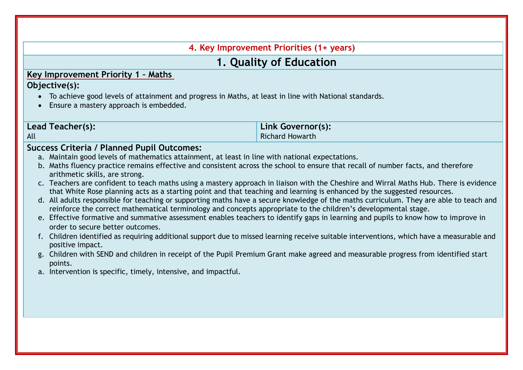## **4. Key Improvement Priorities (1+ years)**

# **1. Quality of Education**

## **Key Improvement Priority 1 – Maths**

### **Objective(s):**

- To achieve good levels of attainment and progress in Maths, at least in line with National standards.
- Ensure a mastery approach is embedded.

|     | Lead Teacher(s): |  |
|-----|------------------|--|
| All |                  |  |

**Link Governor(s):** Richard Howarth

## **Success Criteria / Planned Pupil Outcomes:**

- a. Maintain good levels of mathematics attainment, at least in line with national expectations.
- b. Maths fluency practice remains effective and consistent across the school to ensure that recall of number facts, and therefore arithmetic skills, are strong.
- c. Teachers are confident to teach maths using a mastery approach in liaison with the Cheshire and Wirral Maths Hub. There is evidence that White Rose planning acts as a starting point and that teaching and learning is enhanced by the suggested resources.
- d. All adults responsible for teaching or supporting maths have a secure knowledge of the maths curriculum. They are able to teach and reinforce the correct mathematical terminology and concepts appropriate to the children's developmental stage.
- e. Effective formative and summative assessment enables teachers to identify gaps in learning and pupils to know how to improve in order to secure better outcomes.
- f. Children identified as requiring additional support due to missed learning receive suitable interventions, which have a measurable and positive impact.
- g. Children with SEND and children in receipt of the Pupil Premium Grant make agreed and measurable progress from identified start points.
- a. Intervention is specific, timely, intensive, and impactful.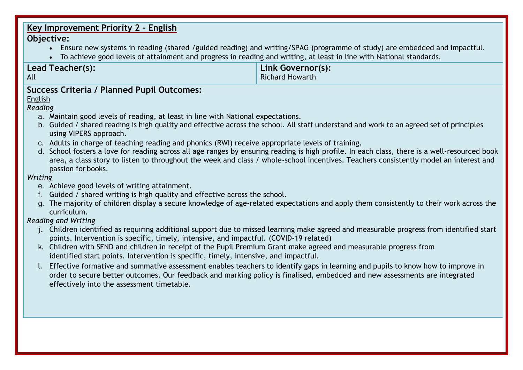#### **Key Improvement Priority 2 – English Objective:** Ensure new systems in reading (shared /guided reading) and writing/SPAG (programme of study) are embedded and impactful. To achieve good levels of attainment and progress in reading and writing, at least in line with National standards. **Lead Teacher(s):** All **Link Governor(s):** Richard Howarth **Success Criteria / Planned Pupil Outcomes:** English *Reading* a. Maintain good levels of reading, at least in line with National expectations. b. Guided / shared reading is high quality and effective across the school. All staff understand and work to an agreed set of principles using VIPERS approach. c. Adults in charge of teaching reading and phonics (RWI) receive appropriate levels of training. d. School fosters a love for reading across all age ranges by ensuring reading is high profile. In each class, there is a well-resourced book area, a class story to listen to throughout the week and class / whole-school incentives. Teachers consistently model an interest and passion for books. *Writing* e. Achieve good levels of writing attainment. f. Guided / shared writing is high quality and effective across the school. g. The majority of children display a secure knowledge of age-related expectations and apply them consistently to their work across the curriculum. *Reading and Writing* j. Children identified as requiring additional support due to missed learning make agreed and measurable progress from identified start points. Intervention is specific, timely, intensive, and impactful. (COVID-19 related) k. Children with SEND and children in receipt of the Pupil Premium Grant make agreed and measurable progress from identified start points. Intervention is specific, timely, intensive, and impactful. l. Effective formative and summative assessment enables teachers to identify gaps in learning and pupils to know how to improve in order to secure better outcomes. Our feedback and marking policy is finalised, embedded and new assessments are integrated effectively into the assessment timetable.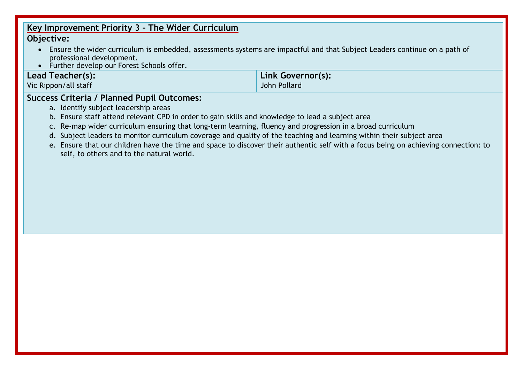## **Key Improvement Priority 3 – The Wider Curriculum**

## **Objective:**

- Ensure the wider curriculum is embedded, assessments systems are impactful and that Subject Leaders continue on a path of professional development.
- Further develop our Forest Schools offer.

| Lead Teacher(s):     | Link Governor(s): |
|----------------------|-------------------|
| Vic Rippon/all staff | John Pollard      |

## **Success Criteria / Planned Pupil Outcomes:**

- a. Identify subject leadership areas
- b. Ensure staff attend relevant CPD in order to gain skills and knowledge to lead a subject area
- c. Re-map wider curriculum ensuring that long-term learning, fluency and progression in a broad curriculum
- d. Subject leaders to monitor curriculum coverage and quality of the teaching and learning within their subject area
- e. Ensure that our children have the time and space to discover their authentic self with a focus being on achieving connection: to self, to others and to the natural world.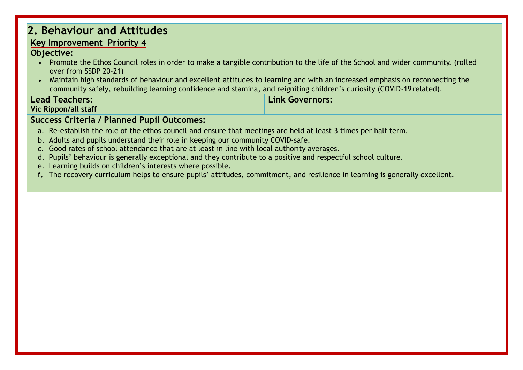# **2. Behaviour and Attitudes**

### **Key Improvement Priority 4**

### **Objective:**

- Promote the Ethos Council roles in order to make a tangible contribution to the life of the School and wider community. (rolled over from SSDP 20-21)
- Maintain high standards of behaviour and excellent attitudes to learning and with an increased emphasis on reconnecting the community safely, rebuilding learning confidence and stamina, and reigniting children's curiosity (COVID-19 related).

| Lead Teachers:       | <b>Link Governors:</b> |
|----------------------|------------------------|
| Vic Rippon/all staff |                        |

## **Success Criteria / Planned Pupil Outcomes:**

- a. Re-establish the role of the ethos council and ensure that meetings are held at least 3 times per half term.
- b. Adults and pupils understand their role in keeping our community COVID-safe.
- c. Good rates of school attendance that are at least in line with local authority averages.
- d. Pupils' behaviour is generally exceptional and they contribute to a positive and respectful school culture.
- e. Learning builds on children's interests where possible.
- **f.** The recovery curriculum helps to ensure pupils' attitudes, commitment, and resilience in learning is generally excellent.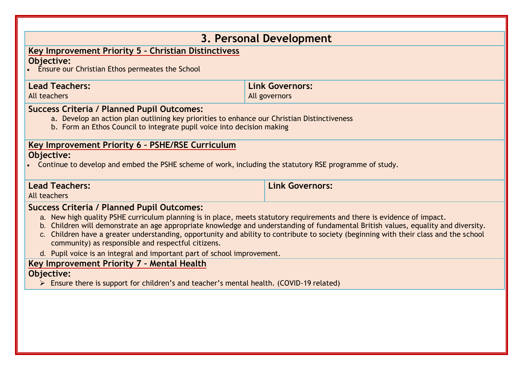|                                                                                                                                                  | 3. Personal Development                                                                                                                                                                                                                                                     |  |
|--------------------------------------------------------------------------------------------------------------------------------------------------|-----------------------------------------------------------------------------------------------------------------------------------------------------------------------------------------------------------------------------------------------------------------------------|--|
| Key Improvement Priority 5 - Christian Distinctivess                                                                                             |                                                                                                                                                                                                                                                                             |  |
| <b>Objective:</b>                                                                                                                                |                                                                                                                                                                                                                                                                             |  |
| • Ensure our Christian Ethos permeates the School                                                                                                |                                                                                                                                                                                                                                                                             |  |
| <b>Lead Teachers:</b>                                                                                                                            | <b>Link Governors:</b>                                                                                                                                                                                                                                                      |  |
| All teachers                                                                                                                                     | All governors                                                                                                                                                                                                                                                               |  |
| <b>Success Criteria / Planned Pupil Outcomes:</b><br>a. Develop an action plan outlining key priorities to enhance our Christian Distinctiveness |                                                                                                                                                                                                                                                                             |  |
| b. Form an Ethos Council to integrate pupil voice into decision making                                                                           |                                                                                                                                                                                                                                                                             |  |
|                                                                                                                                                  |                                                                                                                                                                                                                                                                             |  |
| Key Improvement Priority 6 - PSHE/RSE Curriculum                                                                                                 |                                                                                                                                                                                                                                                                             |  |
| Objective:<br>Continue to develop and embed the PSHE scheme of work, including the statutory RSE programme of study.                             |                                                                                                                                                                                                                                                                             |  |
|                                                                                                                                                  |                                                                                                                                                                                                                                                                             |  |
| <b>Lead Teachers:</b>                                                                                                                            | <b>Link Governors:</b>                                                                                                                                                                                                                                                      |  |
| All teachers                                                                                                                                     |                                                                                                                                                                                                                                                                             |  |
| <b>Success Criteria / Planned Pupil Outcomes:</b>                                                                                                |                                                                                                                                                                                                                                                                             |  |
| a. New high quality PSHE curriculum planning is in place, meets statutory requirements and there is evidence of impact.                          |                                                                                                                                                                                                                                                                             |  |
|                                                                                                                                                  | b. Children will demonstrate an age appropriate knowledge and understanding of fundamental British values, equality and diversity.<br>c. Children have a greater understanding, opportunity and ability to contribute to society (beginning with their class and the school |  |
| community) as responsible and respectful citizens.                                                                                               |                                                                                                                                                                                                                                                                             |  |
| d. Pupil voice is an integral and important part of school improvement.                                                                          |                                                                                                                                                                                                                                                                             |  |
| Key Improvement Priority 7 - Mental Health                                                                                                       |                                                                                                                                                                                                                                                                             |  |
| <b>Objective:</b><br>> Ensure there is support for children's and teacher's mental health. (COVID-19 related)                                    |                                                                                                                                                                                                                                                                             |  |
|                                                                                                                                                  |                                                                                                                                                                                                                                                                             |  |
|                                                                                                                                                  |                                                                                                                                                                                                                                                                             |  |
|                                                                                                                                                  |                                                                                                                                                                                                                                                                             |  |
|                                                                                                                                                  |                                                                                                                                                                                                                                                                             |  |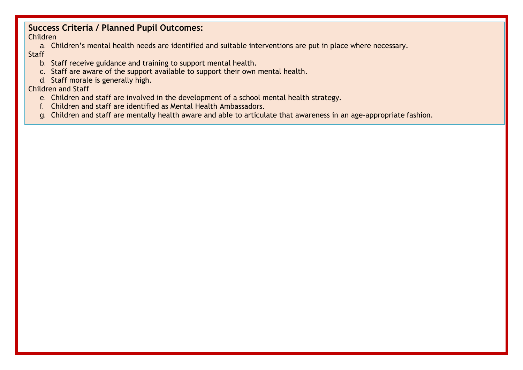## **Success Criteria / Planned Pupil Outcomes:**

#### Children

a. Children's mental health needs are identified and suitable interventions are put in place where necessary. **Staff** 

- b. Staff receive guidance and training to support mental health.
- c. Staff are aware of the support available to support their own mental health.
- d. Staff morale is generally high.

## Children and Staff

- e. Children and staff are involved in the development of a school mental health strategy.
- f. Children and staff are identified as Mental Health Ambassadors.
- g. Children and staff are mentally health aware and able to articulate that awareness in an age-appropriate fashion.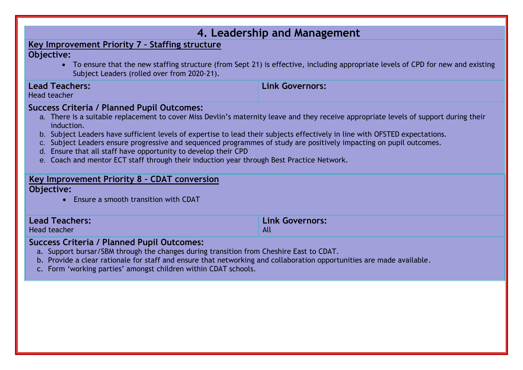| 4. Leadership and Management                                                                                                                                                                                                                                                                                                                                                                                                                                                                                                                                                                                                                                                                                                        |                               |  |
|-------------------------------------------------------------------------------------------------------------------------------------------------------------------------------------------------------------------------------------------------------------------------------------------------------------------------------------------------------------------------------------------------------------------------------------------------------------------------------------------------------------------------------------------------------------------------------------------------------------------------------------------------------------------------------------------------------------------------------------|-------------------------------|--|
| Key Improvement Priority 7 - Staffing structure                                                                                                                                                                                                                                                                                                                                                                                                                                                                                                                                                                                                                                                                                     |                               |  |
| Objective:                                                                                                                                                                                                                                                                                                                                                                                                                                                                                                                                                                                                                                                                                                                          |                               |  |
| • To ensure that the new staffing structure (from Sept 21) is effective, including appropriate levels of CPD for new and existing<br>Subject Leaders (rolled over from 2020-21).                                                                                                                                                                                                                                                                                                                                                                                                                                                                                                                                                    |                               |  |
| <b>Lead Teachers:</b><br>Head teacher                                                                                                                                                                                                                                                                                                                                                                                                                                                                                                                                                                                                                                                                                               | <b>Link Governors:</b>        |  |
| <b>Success Criteria / Planned Pupil Outcomes:</b><br>a. There is a suitable replacement to cover Miss Devlin's maternity leave and they receive appropriate levels of support during their<br>induction.<br>b. Subject Leaders have sufficient levels of expertise to lead their subjects effectively in line with OFSTED expectations.<br>c. Subject Leaders ensure progressive and sequenced programmes of study are positively impacting on pupil outcomes.<br>d. Ensure that all staff have opportunity to develop their CPD<br>e. Coach and mentor ECT staff through their induction year through Best Practice Network.<br>Key Improvement Priority 8 - CDAT conversion<br>Objective:<br>Ensure a smooth transition with CDAT |                               |  |
| <b>Lead Teachers:</b><br>Head teacher                                                                                                                                                                                                                                                                                                                                                                                                                                                                                                                                                                                                                                                                                               | <b>Link Governors:</b><br>All |  |
| <b>Success Criteria / Planned Pupil Outcomes:</b><br>a. Support bursar/SBM through the changes during transition from Cheshire East to CDAT.<br>b. Provide a clear rationale for staff and ensure that networking and collaboration opportunities are made available.<br>c. Form 'working parties' amongst children within CDAT schools.                                                                                                                                                                                                                                                                                                                                                                                            |                               |  |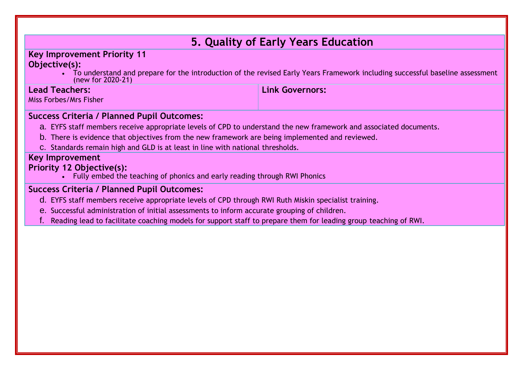| 5. Quality of Early Years Education                                                                               |                                                                                                                              |  |
|-------------------------------------------------------------------------------------------------------------------|------------------------------------------------------------------------------------------------------------------------------|--|
| <b>Key Improvement Priority 11</b>                                                                                |                                                                                                                              |  |
| Objective(s):                                                                                                     |                                                                                                                              |  |
| (new for 2020-21)                                                                                                 | To understand and prepare for the introduction of the revised Early Years Framework including successful baseline assessment |  |
| <b>Lead Teachers:</b>                                                                                             | <b>Link Governors:</b>                                                                                                       |  |
| Miss Forbes/Mrs Fisher                                                                                            |                                                                                                                              |  |
| <b>Success Criteria / Planned Pupil Outcomes:</b>                                                                 |                                                                                                                              |  |
| a. EYFS staff members receive appropriate levels of CPD to understand the new framework and associated documents. |                                                                                                                              |  |
| b. There is evidence that objectives from the new framework are being implemented and reviewed.                   |                                                                                                                              |  |
| C. Standards remain high and GLD is at least in line with national thresholds.                                    |                                                                                                                              |  |
| <b>Key Improvement</b>                                                                                            |                                                                                                                              |  |
| Priority 12 Objective(s):                                                                                         |                                                                                                                              |  |
| Fully embed the teaching of phonics and early reading through RWI Phonics                                         |                                                                                                                              |  |
| <b>Success Criteria / Planned Pupil Outcomes:</b>                                                                 |                                                                                                                              |  |
| d. EYFS staff members receive appropriate levels of CPD through RWI Ruth Miskin specialist training.              |                                                                                                                              |  |
| e. Successful administration of initial assessments to inform accurate grouping of children.                      |                                                                                                                              |  |
| Reading lead to facilitate coaching models for support staff to prepare them for leading group teaching of RWI.   |                                                                                                                              |  |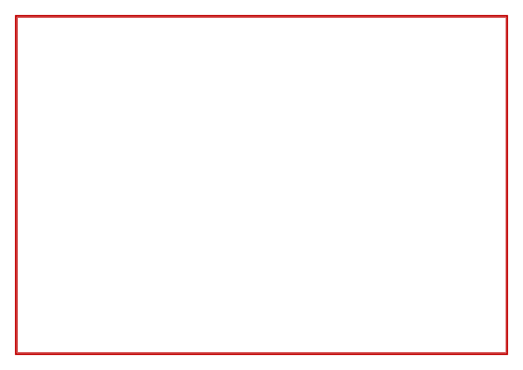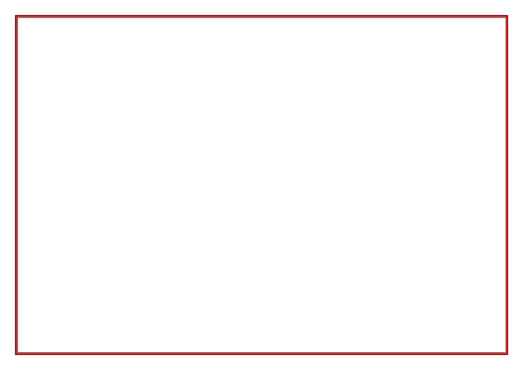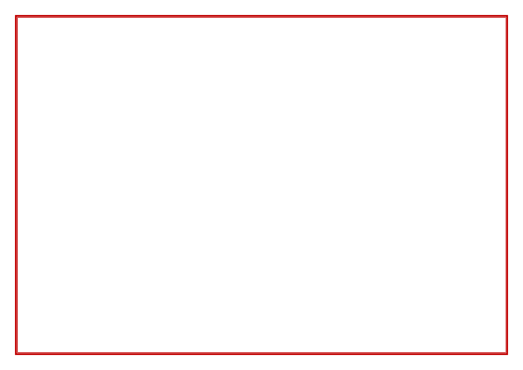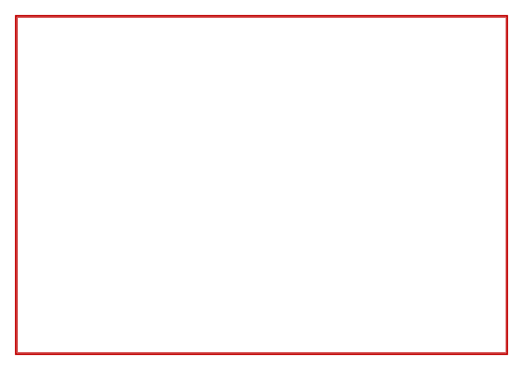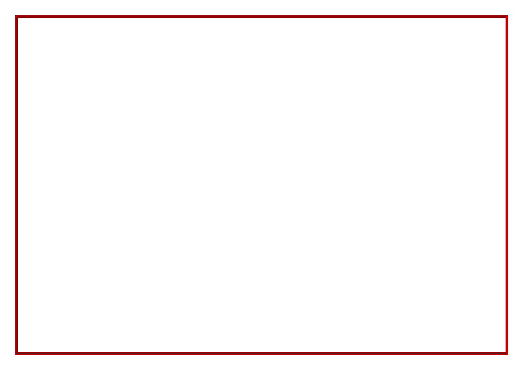